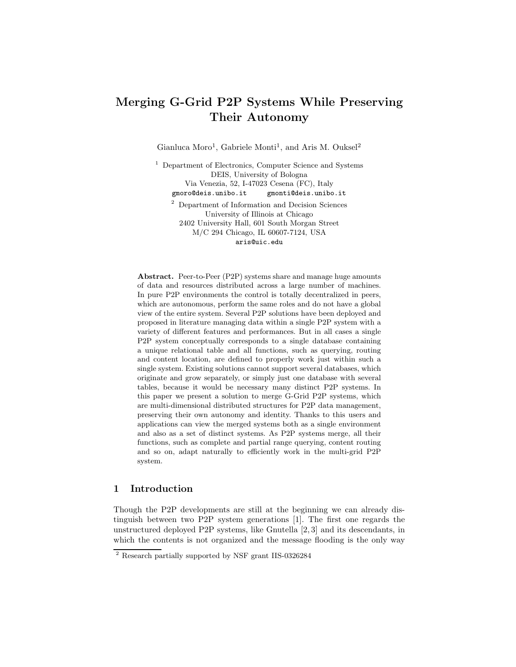# Merging G-Grid P2P Systems While Preserving Their Autonomy

Gianluca Moro<sup>1</sup>, Gabriele Monti<sup>1</sup>, and Aris M. Ouksel<sup>2</sup>

<sup>1</sup> Department of Electronics, Computer Science and Systems DEIS, University of Bologna Via Venezia, 52, I-47023 Cesena (FC), Italy gmoro@deis.unibo.it gmonti@deis.unibo.it <sup>2</sup> Department of Information and Decision Sciences

University of Illinois at Chicago 2402 University Hall, 601 South Morgan Street M/C 294 Chicago, IL 60607-7124, USA aris@uic.edu

Abstract. Peer-to-Peer (P2P) systems share and manage huge amounts of data and resources distributed across a large number of machines. In pure P2P environments the control is totally decentralized in peers, which are autonomous, perform the same roles and do not have a global view of the entire system. Several P2P solutions have been deployed and proposed in literature managing data within a single P2P system with a variety of different features and performances. But in all cases a single P2P system conceptually corresponds to a single database containing a unique relational table and all functions, such as querying, routing and content location, are defined to properly work just within such a single system. Existing solutions cannot support several databases, which originate and grow separately, or simply just one database with several tables, because it would be necessary many distinct P2P systems. In this paper we present a solution to merge G-Grid P2P systems, which are multi-dimensional distributed structures for P2P data management, preserving their own autonomy and identity. Thanks to this users and applications can view the merged systems both as a single environment and also as a set of distinct systems. As P2P systems merge, all their functions, such as complete and partial range querying, content routing and so on, adapt naturally to efficiently work in the multi-grid P2P system.

### 1 Introduction

Though the P2P developments are still at the beginning we can already distinguish between two P2P system generations [1]. The first one regards the unstructured deployed P2P systems, like Gnutella [2, 3] and its descendants, in which the contents is not organized and the message flooding is the only way

<sup>2</sup> Research partially supported by NSF grant IIS-0326284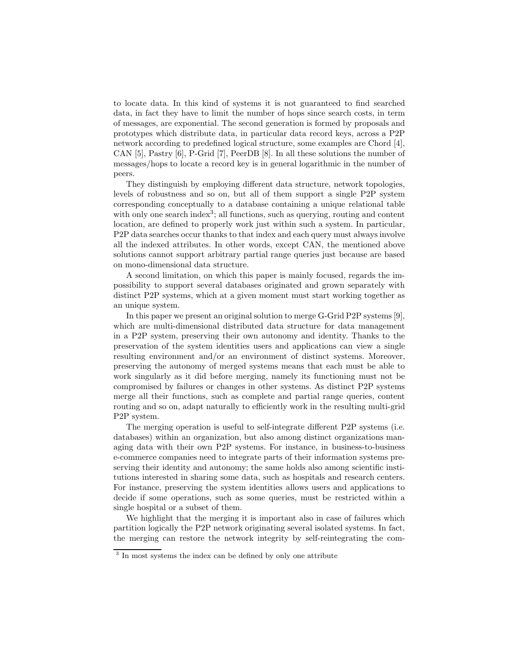to locate data. In this kind of systems it is not guaranteed to find searched data, in fact they have to limit the number of hops since search costs, in term of messages, are exponential. The second generation is formed by proposals and prototypes which distribute data, in particular data record keys, across a P2P network according to predefined logical structure, some examples are Chord [4], CAN [5], Pastry [6], P-Grid [7], PeerDB [8]. In all these solutions the number of messages/hops to locate a record key is in general logarithmic in the number of peers.

They distinguish by employing different data structure, network topologies, levels of robustness and so on, but all of them support a single P2P system corresponding conceptually to a database containing a unique relational table with only one search index<sup>3</sup>; all functions, such as querying, routing and content location, are defined to properly work just within such a system. In particular, P2P data searches occur thanks to that index and each query must always involve all the indexed attributes. In other words, except CAN, the mentioned above solutions cannot support arbitrary partial range queries just because are based on mono-dimensional data structure.

A second limitation, on which this paper is mainly focused, regards the impossibility to support several databases originated and grown separately with distinct P2P systems, which at a given moment must start working together as an unique system.

In this paper we present an original solution to merge G-Grid P2P systems [9], which are multi-dimensional distributed data structure for data management in a P2P system, preserving their own autonomy and identity. Thanks to the preservation of the system identities users and applications can view a single resulting environment and/or an environment of distinct systems. Moreover, preserving the autonomy of merged systems means that each must be able to work singularly as it did before merging, namely its functioning must not be compromised by failures or changes in other systems. As distinct P2P systems merge all their functions, such as complete and partial range queries, content routing and so on, adapt naturally to efficiently work in the resulting multi-grid P2P system.

The merging operation is useful to self-integrate different P2P systems (i.e. databases) within an organization, but also among distinct organizations managing data with their own P2P systems. For instance, in business-to-business e-commerce companies need to integrate parts of their information systems preserving their identity and autonomy; the same holds also among scientific institutions interested in sharing some data, such as hospitals and research centers. For instance, preserving the system identities allows users and applications to decide if some operations, such as some queries, must be restricted within a single hospital or a subset of them.

We highlight that the merging it is important also in case of failures which partition logically the P2P network originating several isolated systems. In fact, the merging can restore the network integrity by self-reintegrating the com-

<sup>&</sup>lt;sup>3</sup> In most systems the index can be defined by only one attribute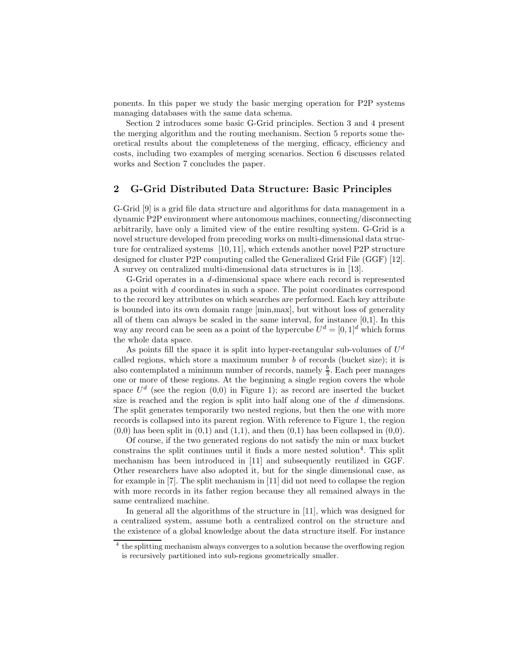ponents. In this paper we study the basic merging operation for P2P systems managing databases with the same data schema.

Section 2 introduces some basic G-Grid principles. Section 3 and 4 present the merging algorithm and the routing mechanism. Section 5 reports some theoretical results about the completeness of the merging, efficacy, efficiency and costs, including two examples of merging scenarios. Section 6 discusses related works and Section 7 concludes the paper.

# 2 G-Grid Distributed Data Structure: Basic Principles

G-Grid [9] is a grid file data structure and algorithms for data management in a dynamic P2P environment where autonomous machines, connecting/disconnecting arbitrarily, have only a limited view of the entire resulting system. G-Grid is a novel structure developed from preceding works on multi-dimensional data structure for centralized systems [10, 11], which extends another novel P2P structure designed for cluster P2P computing called the Generalized Grid File (GGF) [12]. A survey on centralized multi-dimensional data structures is in [13].

G-Grid operates in a d-dimensional space where each record is represented as a point with d coordinates in such a space. The point coordinates correspond to the record key attributes on which searches are performed. Each key attribute is bounded into its own domain range [min,max], but without loss of generality all of them can always be scaled in the same interval, for instance [0,1]. In this way any record can be seen as a point of the hypercube  $U^d = [0, 1]^d$  which forms the whole data space.

As points fill the space it is split into hyper-rectangular sub-volumes of  $U^d$ called regions, which store a maximum number  $b$  of records (bucket size); it is also contemplated a minimum number of records, namely  $\frac{b}{3}$ . Each peer manages one or more of these regions. At the beginning a single region covers the whole space  $U<sup>d</sup>$  (see the region  $(0,0)$  in Figure 1); as record are inserted the bucket size is reached and the region is split into half along one of the d dimensions. The split generates temporarily two nested regions, but then the one with more records is collapsed into its parent region. With reference to Figure 1, the region  $(0,0)$  has been split in  $(0,1)$  and  $(1,1)$ , and then  $(0,1)$  has been collapsed in  $(0,0)$ .

Of course, if the two generated regions do not satisfy the min or max bucket constrains the split continues until it finds a more nested solution<sup>4</sup>. This split mechanism has been introduced in [11] and subsequently reutilized in GGF. Other researchers have also adopted it, but for the single dimensional case, as for example in [7]. The split mechanism in [11] did not need to collapse the region with more records in its father region because they all remained always in the same centralized machine.

In general all the algorithms of the structure in [11], which was designed for a centralized system, assume both a centralized control on the structure and the existence of a global knowledge about the data structure itself. For instance

<sup>&</sup>lt;sup>4</sup> the splitting mechanism always converges to a solution because the overflowing region is recursively partitioned into sub-regions geometrically smaller.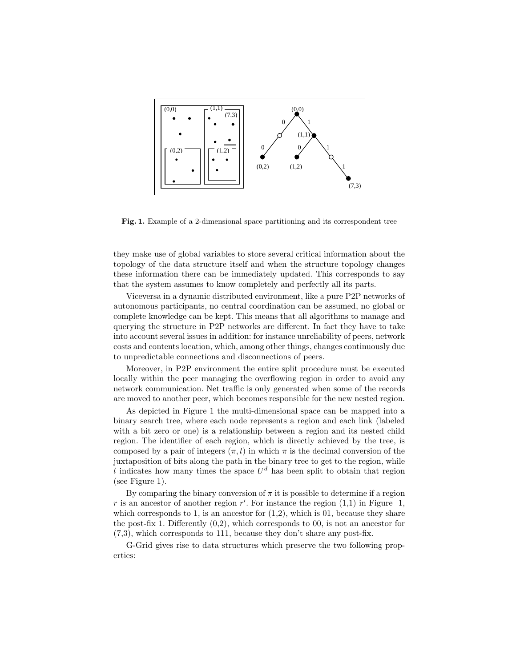

Fig. 1. Example of a 2-dimensional space partitioning and its correspondent tree

they make use of global variables to store several critical information about the topology of the data structure itself and when the structure topology changes these information there can be immediately updated. This corresponds to say that the system assumes to know completely and perfectly all its parts.

Viceversa in a dynamic distributed environment, like a pure P2P networks of autonomous participants, no central coordination can be assumed, no global or complete knowledge can be kept. This means that all algorithms to manage and querying the structure in P2P networks are different. In fact they have to take into account several issues in addition: for instance unreliability of peers, network costs and contents location, which, among other things, changes continuously due to unpredictable connections and disconnections of peers.

Moreover, in P2P environment the entire split procedure must be executed locally within the peer managing the overflowing region in order to avoid any network communication. Net traffic is only generated when some of the records are moved to another peer, which becomes responsible for the new nested region.

As depicted in Figure 1 the multi-dimensional space can be mapped into a binary search tree, where each node represents a region and each link (labeled with a bit zero or one) is a relationship between a region and its nested child region. The identifier of each region, which is directly achieved by the tree, is composed by a pair of integers  $(\pi, l)$  in which  $\pi$  is the decimal conversion of the juxtaposition of bits along the path in the binary tree to get to the region, while l indicates how many times the space  $U<sup>d</sup>$  has been split to obtain that region (see Figure 1).

By comparing the binary conversion of  $\pi$  it is possible to determine if a region r is an ancestor of another region  $r'$ . For instance the region  $(1,1)$  in Figure 1, which corresponds to 1, is an ancestor for  $(1,2)$ , which is 01, because they share the post-fix 1. Differently (0,2), which corresponds to 00, is not an ancestor for (7,3), which corresponds to 111, because they don't share any post-fix.

G-Grid gives rise to data structures which preserve the two following properties: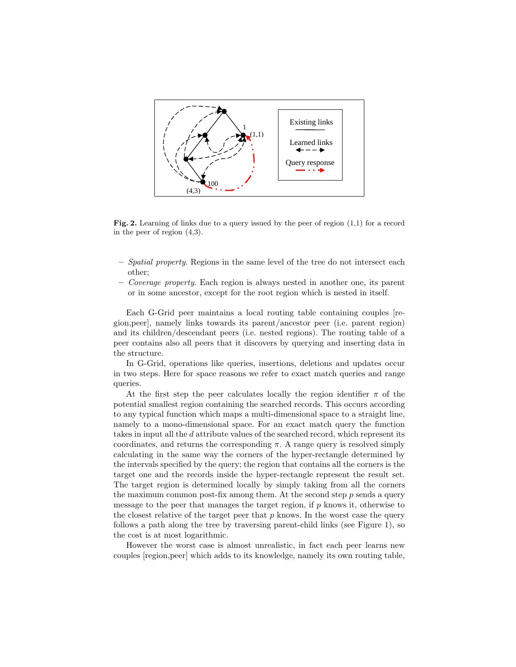

Fig. 2. Learning of links due to a query issued by the peer of region  $(1,1)$  for a record in the peer of region (4,3).

- $-$  Spatial property. Regions in the same level of the tree do not intersect each other;
- Coverage property. Each region is always nested in another one, its parent or in some ancestor, except for the root region which is nested in itself.

Each G-Grid peer maintains a local routing table containing couples [region,peer], namely links towards its parent/ancestor peer (i.e. parent region) and its children/descendant peers (i.e. nested regions). The routing table of a peer contains also all peers that it discovers by querying and inserting data in the structure.

In G-Grid, operations like queries, insertions, deletions and updates occur in two steps. Here for space reasons we refer to exact match queries and range queries.

At the first step the peer calculates locally the region identifier  $\pi$  of the potential smallest region containing the searched records. This occurs according to any typical function which maps a multi-dimensional space to a straight line, namely to a mono-dimensional space. For an exact match query the function takes in input all the d attribute values of the searched record, which represent its coordinates, and returns the corresponding  $\pi$ . A range query is resolved simply calculating in the same way the corners of the hyper-rectangle determined by the intervals specified by the query; the region that contains all the corners is the target one and the records inside the hyper-rectangle represent the result set. The target region is determined locally by simply taking from all the corners the maximum common post-fix among them. At the second step  $p$  sends a query message to the peer that manages the target region, if  $p$  knows it, otherwise to the closest relative of the target peer that  $p$  knows. In the worst case the query follows a path along the tree by traversing parent-child links (see Figure 1), so the cost is at most logarithmic.

However the worst case is almost unrealistic, in fact each peer learns new couples [region,peer] which adds to its knowledge, namely its own routing table,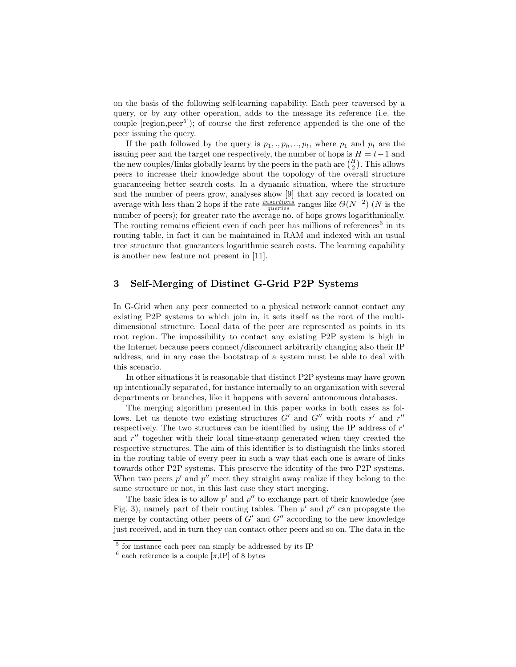on the basis of the following self-learning capability. Each peer traversed by a query, or by any other operation, adds to the message its reference (i.e. the couple [region,peer<sup>5</sup>]); of course the first reference appended is the one of the peer issuing the query.

If the path followed by the query is  $p_1, \ldots, p_h, \ldots, p_t$ , where  $p_1$  and  $p_t$  are the issuing peer and the target one respectively, the number of hops is  $H = t-1$  and the new couples/links globally learnt by the peers in the path are  $\binom{H}{2}$ . This allows peers to increase their knowledge about the topology of the overall structure guaranteeing better search costs. In a dynamic situation, where the structure and the number of peers grow, analyses show [9] that any record is located on average with less than 2 hops if the rate  $\frac{insertions}{queries}$  ranges like  $\Theta(N^{-2})$  (N is the number of peers); for greater rate the average no. of hops grows logarithmically. The routing remains efficient even if each peer has millions of references<sup>6</sup> in its routing table, in fact it can be maintained in RAM and indexed with an usual tree structure that guarantees logarithmic search costs. The learning capability is another new feature not present in [11].

## 3 Self-Merging of Distinct G-Grid P2P Systems

In G-Grid when any peer connected to a physical network cannot contact any existing P2P systems to which join in, it sets itself as the root of the multidimensional structure. Local data of the peer are represented as points in its root region. The impossibility to contact any existing P2P system is high in the Internet because peers connect/disconnect arbitrarily changing also their IP address, and in any case the bootstrap of a system must be able to deal with this scenario.

In other situations it is reasonable that distinct P2P systems may have grown up intentionally separated, for instance internally to an organization with several departments or branches, like it happens with several autonomous databases.

The merging algorithm presented in this paper works in both cases as follows. Let us denote two existing structures  $G'$  and  $G''$  with roots r' and r'' respectively. The two structures can be identified by using the IP address of  $r'$ and  $r''$  together with their local time-stamp generated when they created the respective structures. The aim of this identifier is to distinguish the links stored in the routing table of every peer in such a way that each one is aware of links towards other P2P systems. This preserve the identity of the two P2P systems. When two peers  $p'$  and  $p''$  meet they straight away realize if they belong to the same structure or not, in this last case they start merging.

The basic idea is to allow  $p'$  and  $p''$  to exchange part of their knowledge (see Fig. 3), namely part of their routing tables. Then  $p'$  and  $p''$  can propagate the merge by contacting other peers of  $G'$  and  $G''$  according to the new knowledge just received, and in turn they can contact other peers and so on. The data in the

<sup>&</sup>lt;sup>5</sup> for instance each peer can simply be addressed by its IP

<sup>&</sup>lt;sup>6</sup> each reference is a couple  $[\pi,\overline{IP}]$  of 8 bytes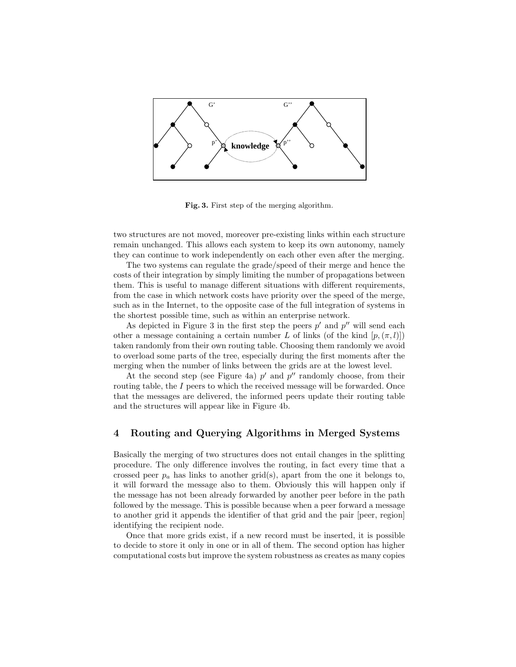

Fig. 3. First step of the merging algorithm.

two structures are not moved, moreover pre-existing links within each structure remain unchanged. This allows each system to keep its own autonomy, namely they can continue to work independently on each other even after the merging.

The two systems can regulate the grade/speed of their merge and hence the costs of their integration by simply limiting the number of propagations between them. This is useful to manage different situations with different requirements, from the case in which network costs have priority over the speed of the merge, such as in the Internet, to the opposite case of the full integration of systems in the shortest possible time, such as within an enterprise network.

As depicted in Figure 3 in the first step the peers  $p'$  and  $p''$  will send each other a message containing a certain number L of links (of the kind  $[p, (\pi, l)]$ ) taken randomly from their own routing table. Choosing them randomly we avoid to overload some parts of the tree, especially during the first moments after the merging when the number of links between the grids are at the lowest level.

At the second step (see Figure 4a)  $p'$  and  $p''$  randomly choose, from their routing table, the I peers to which the received message will be forwarded. Once that the messages are delivered, the informed peers update their routing table and the structures will appear like in Figure 4b.

# 4 Routing and Querying Algorithms in Merged Systems

Basically the merging of two structures does not entail changes in the splitting procedure. The only difference involves the routing, in fact every time that a crossed peer  $p_a$  has links to another grid(s), apart from the one it belongs to, it will forward the message also to them. Obviously this will happen only if the message has not been already forwarded by another peer before in the path followed by the message. This is possible because when a peer forward a message to another grid it appends the identifier of that grid and the pair [peer, region] identifying the recipient node.

Once that more grids exist, if a new record must be inserted, it is possible to decide to store it only in one or in all of them. The second option has higher computational costs but improve the system robustness as creates as many copies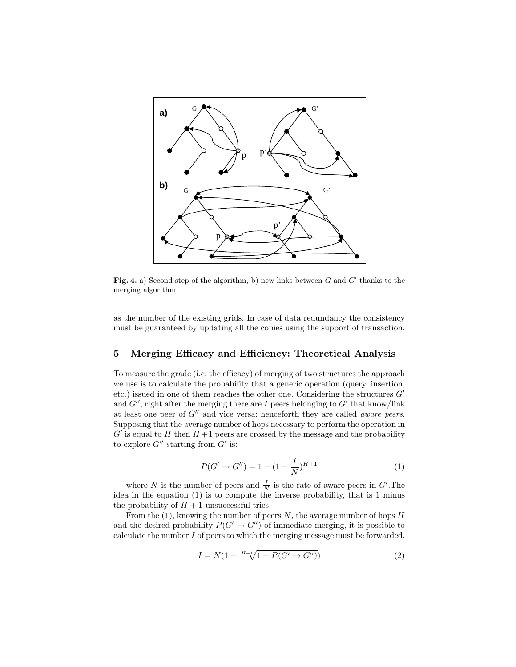

Fig. 4. a) Second step of the algorithm, b) new links between  $G$  and  $G'$  thanks to the merging algorithm

as the number of the existing grids. In case of data redundancy the consistency must be guaranteed by updating all the copies using the support of transaction.

#### 5 Merging Efficacy and Efficiency: Theoretical Analysis

To measure the grade (i.e. the efficacy) of merging of two structures the approach we use is to calculate the probability that a generic operation (query, insertion, etc.) issued in one of them reaches the other one. Considering the structures  $G'$ and  $G''$ , right after the merging there are I peers belonging to  $G'$  that know/link at least one peer of  $G''$  and vice versa; henceforth they are called *aware peers*. Supposing that the average number of hops necessary to perform the operation in  $G'$  is equal to H then  $H + 1$  peers are crossed by the message and the probability to explore  $G''$  starting from  $G'$  is:

$$
P(G' \to G'') = 1 - (1 - \frac{I}{N})^{H+1}
$$
\n(1)

where N is the number of peers and  $\frac{I}{N}$  is the rate of aware peers in G'. The idea in the equation (1) is to compute the inverse probability, that is 1 minus the probability of  $H + 1$  unsuccessful tries.

From the  $(1)$ , knowing the number of peers N, the average number of hops H and the desired probability  $P(G' \rightarrow G'')$  of immediate merging, it is possible to calculate the number I of peers to which the merging message must be forwarded.

$$
I = N(1 - {}^{H+1}\sqrt{1 - P(G' \to G'')})
$$
\n(2)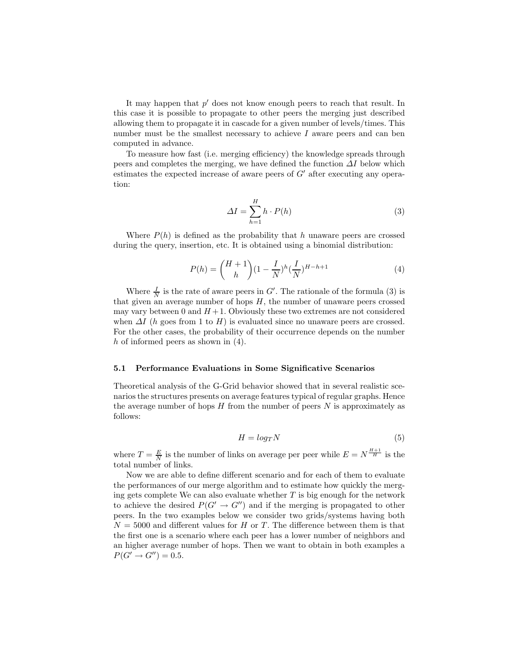It may happen that  $p'$  does not know enough peers to reach that result. In this case it is possible to propagate to other peers the merging just described allowing them to propagate it in cascade for a given number of levels/times. This number must be the smallest necessary to achieve  $I$  aware peers and can ben computed in advance.

To measure how fast (i.e. merging efficiency) the knowledge spreads through peers and completes the merging, we have defined the function  $\Delta I$  below which estimates the expected increase of aware peers of  $G'$  after executing any operation:

$$
\Delta I = \sum_{h=1}^{H} h \cdot P(h) \tag{3}
$$

Where  $P(h)$  is defined as the probability that h unaware peers are crossed during the query, insertion, etc. It is obtained using a binomial distribution:

$$
P(h) = {H+1 \choose h} (1 - \frac{I}{N})^h (\frac{I}{N})^{H-h+1}
$$
 (4)

Where  $\frac{I}{N}$  is the rate of aware peers in G'. The rationale of the formula (3) is that given an average number of hops  $H$ , the number of unaware peers crossed may vary between 0 and  $H + 1$ . Obviously these two extremes are not considered when  $\Delta I$  (h goes from 1 to H) is evaluated since no unaware peers are crossed. For the other cases, the probability of their occurrence depends on the number h of informed peers as shown in  $(4)$ .

#### 5.1 Performance Evaluations in Some Significative Scenarios

Theoretical analysis of the G-Grid behavior showed that in several realistic scenarios the structures presents on average features typical of regular graphs. Hence the average number of hops  $H$  from the number of peers  $N$  is approximately as follows:

$$
H = log_T N \tag{5}
$$

where  $T = \frac{E}{N}$  is the number of links on average per peer while  $E = N^{\frac{H+1}{H}}$  is the total number of links.

Now we are able to define different scenario and for each of them to evaluate the performances of our merge algorithm and to estimate how quickly the merging gets complete We can also evaluate whether  $T$  is big enough for the network to achieve the desired  $P(G' \rightarrow G'')$  and if the merging is propagated to other peers. In the two examples below we consider two grids/systems having both  $N = 5000$  and different values for H or T. The difference between them is that the first one is a scenario where each peer has a lower number of neighbors and an higher average number of hops. Then we want to obtain in both examples a  $P(G' \to G'') = 0.5.$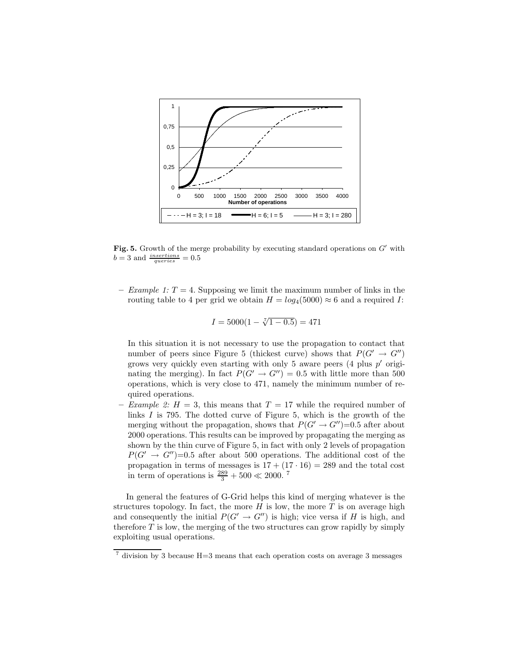

Fig. 5. Growth of the merge probability by executing standard operations on  $G'$  with  $b = 3$  and  $\frac{insertions}{queries} = 0.5$ 

– Example 1:  $T = 4$ . Supposing we limit the maximum number of links in the routing table to 4 per grid we obtain  $H = log_4(5000) \approx 6$  and a required I:

$$
I = 5000(1 - \sqrt[7]{1 - 0.5}) = 471
$$

In this situation it is not necessary to use the propagation to contact that number of peers since Figure 5 (thickest curve) shows that  $P(G' \rightarrow G'')$ grows very quickly even starting with only 5 aware peers  $(4$  plus  $p'$  originating the merging). In fact  $P(G' \rightarrow G'') = 0.5$  with little more than 500 operations, which is very close to 471, namely the minimum number of required operations.

– Example 2:  $H = 3$ , this means that  $T = 17$  while the required number of links  $I$  is 795. The dotted curve of Figure 5, which is the growth of the merging without the propagation, shows that  $P(G' \rightarrow G'')=0.5$  after about 2000 operations. This results can be improved by propagating the merging as shown by the thin curve of Figure 5, in fact with only 2 levels of propagation  $P(G' \rightarrow G'')=0.5$  after about 500 operations. The additional cost of the propagation in terms of messages is  $17 + (17 \cdot 16) = 289$  and the total cost in term of operations is  $\frac{289}{3} + 500 \ll 2000$ .<sup>7</sup>

In general the features of G-Grid helps this kind of merging whatever is the structures topology. In fact, the more  $H$  is low, the more  $T$  is on average high and consequently the initial  $P(G' \rightarrow G'')$  is high; vice versa if H is high, and therefore  $T$  is low, the merging of the two structures can grow rapidly by simply exploiting usual operations.

 $^7$  division by 3 because H=3 means that each operation costs on average 3 messages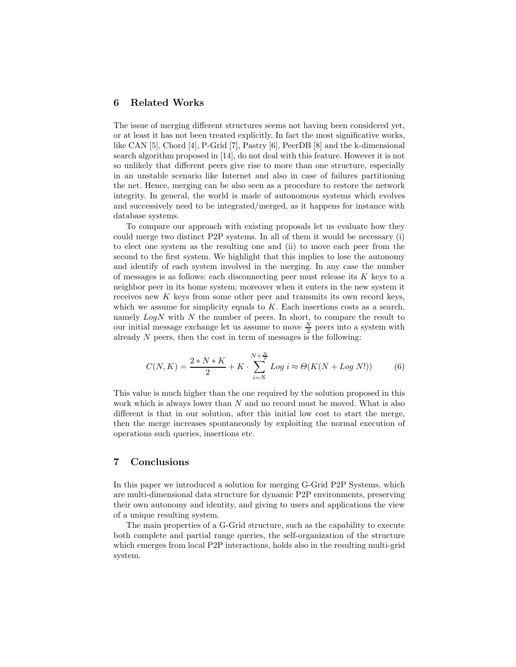#### 6 Related Works

The issue of merging different structures seems not having been considered yet, or at least it has not been treated explicitly. In fact the most significative works, like CAN [5], Chord [4], P-Grid [7], Pastry [6], PeerDB [8] and the k-dimensional search algorithm proposed in [14], do not deal with this feature. However it is not so unlikely that different peers give rise to more than one structure, especially in an unstable scenario like Internet and also in case of failures partitioning the net. Hence, merging can be also seen as a procedure to restore the network integrity. In general, the world is made of autonomous systems which evolves and successively need to be integrated/merged, as it happens for instance with database systems.

To compare our approach with existing proposals let us evaluate how they could merge two distinct P2P systems. In all of them it would be necessary (i) to elect one system as the resulting one and (ii) to move each peer from the second to the first system. We highlight that this implies to lose the autonomy and identify of each system involved in the merging. In any case the number of messages is as follows: each disconnecting peer must release its  $K$  keys to a neighbor peer in its home system; moreover when it enters in the new system it receives new K keys from some other peer and transmits its own record keys, which we assume for simplicity equals to  $K$ . Each insertions costs as a search, namely  $Log N$  with N the number of peers. In short, to compare the result to our initial message exchange let us assume to move  $\frac{N}{2}$  peers into a system with already  $N$  peers, then the cost in term of messages is the following:

$$
C(N,K) = \frac{2*N*K}{2} + K \cdot \sum_{i=N}^{N+\frac{N}{2}} Log i \approx \Theta(K(N + Log N!))
$$
 (6)

This value is much higher than the one required by the solution proposed in this work which is always lower than  $N$  and no record must be moved. What is also different is that in our solution, after this initial low cost to start the merge, then the merge increases spontaneously by exploiting the normal execution of operations such queries, insertions etc.

#### 7 Conclusions

In this paper we introduced a solution for merging G-Grid P2P Systems, which are multi-dimensional data structure for dynamic P2P environments, preserving their own autonomy and identity, and giving to users and applications the view of a unique resulting system.

The main properties of a G-Grid structure, such as the capability to execute both complete and partial range queries, the self-organization of the structure which emerges from local P2P interactions, holds also in the resulting multi-grid system.